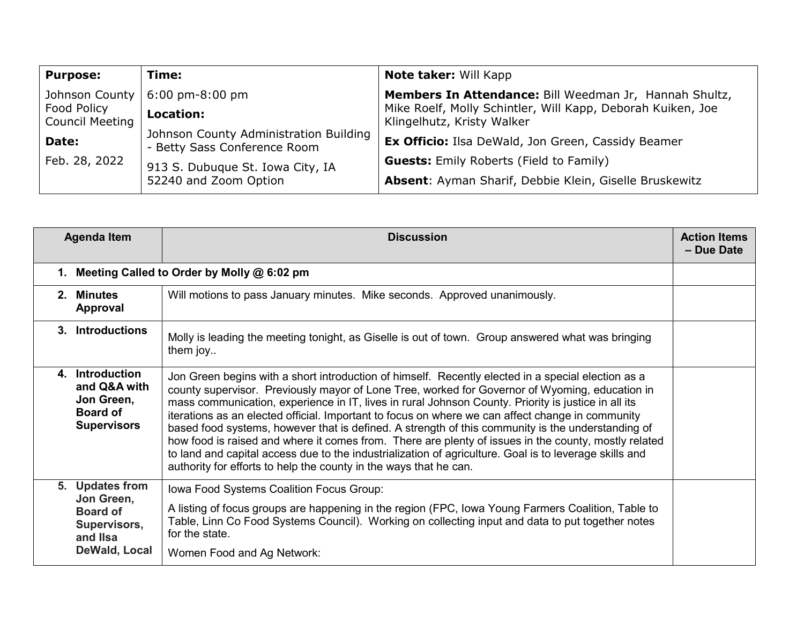| <b>Purpose:</b>                | Time:                                                                  | Note taker: Will Kapp                                                                     |
|--------------------------------|------------------------------------------------------------------------|-------------------------------------------------------------------------------------------|
| Johnson County                 | $6:00 \text{ pm-}8:00 \text{ pm}$                                      | Members In Attendance: Bill Weedman Jr, Hannah Shultz,                                    |
| Food Policy<br>Council Meeting | <b>Location:</b>                                                       | Mike Roelf, Molly Schintler, Will Kapp, Deborah Kuiken, Joe<br>Klingelhutz, Kristy Walker |
| Date:                          | Johnson County Administration Building<br>- Betty Sass Conference Room | Ex Officio: Ilsa DeWald, Jon Green, Cassidy Beamer                                        |
| Feb. 28, 2022                  | 913 S. Dubuque St. Iowa City, IA                                       | <b>Guests:</b> Emily Roberts (Field to Family)                                            |
|                                | 52240 and Zoom Option                                                  | Absent: Ayman Sharif, Debbie Klein, Giselle Bruskewitz                                    |

|                                               | <b>Agenda Item</b>                                                                            | <b>Discussion</b>                                                                                                                                                                                                                                                                                                                                                                                                                                                                                                                                                                                                                                                                                                                                                                                           | <b>Action Items</b><br>- Due Date |
|-----------------------------------------------|-----------------------------------------------------------------------------------------------|-------------------------------------------------------------------------------------------------------------------------------------------------------------------------------------------------------------------------------------------------------------------------------------------------------------------------------------------------------------------------------------------------------------------------------------------------------------------------------------------------------------------------------------------------------------------------------------------------------------------------------------------------------------------------------------------------------------------------------------------------------------------------------------------------------------|-----------------------------------|
| 1. Meeting Called to Order by Molly @ 6:02 pm |                                                                                               |                                                                                                                                                                                                                                                                                                                                                                                                                                                                                                                                                                                                                                                                                                                                                                                                             |                                   |
|                                               | 2. Minutes<br>Approval                                                                        | Will motions to pass January minutes. Mike seconds. Approved unanimously.                                                                                                                                                                                                                                                                                                                                                                                                                                                                                                                                                                                                                                                                                                                                   |                                   |
|                                               | 3. Introductions                                                                              | Molly is leading the meeting tonight, as Giselle is out of town. Group answered what was bringing<br>them joy                                                                                                                                                                                                                                                                                                                                                                                                                                                                                                                                                                                                                                                                                               |                                   |
|                                               | 4. Introduction<br>and Q&A with<br>Jon Green,<br><b>Board of</b><br><b>Supervisors</b>        | Jon Green begins with a short introduction of himself. Recently elected in a special election as a<br>county supervisor. Previously mayor of Lone Tree, worked for Governor of Wyoming, education in<br>mass communication, experience in IT, lives in rural Johnson County. Priority is justice in all its<br>iterations as an elected official. Important to focus on where we can affect change in community<br>based food systems, however that is defined. A strength of this community is the understanding of<br>how food is raised and where it comes from. There are plenty of issues in the county, mostly related<br>to land and capital access due to the industrialization of agriculture. Goal is to leverage skills and<br>authority for efforts to help the county in the ways that he can. |                                   |
|                                               | 5. Updates from<br>Jon Green,<br><b>Board of</b><br>Supervisors,<br>and IIsa<br>DeWald, Local | Iowa Food Systems Coalition Focus Group:<br>A listing of focus groups are happening in the region (FPC, lowa Young Farmers Coalition, Table to<br>Table, Linn Co Food Systems Council). Working on collecting input and data to put together notes<br>for the state.<br>Women Food and Ag Network:                                                                                                                                                                                                                                                                                                                                                                                                                                                                                                          |                                   |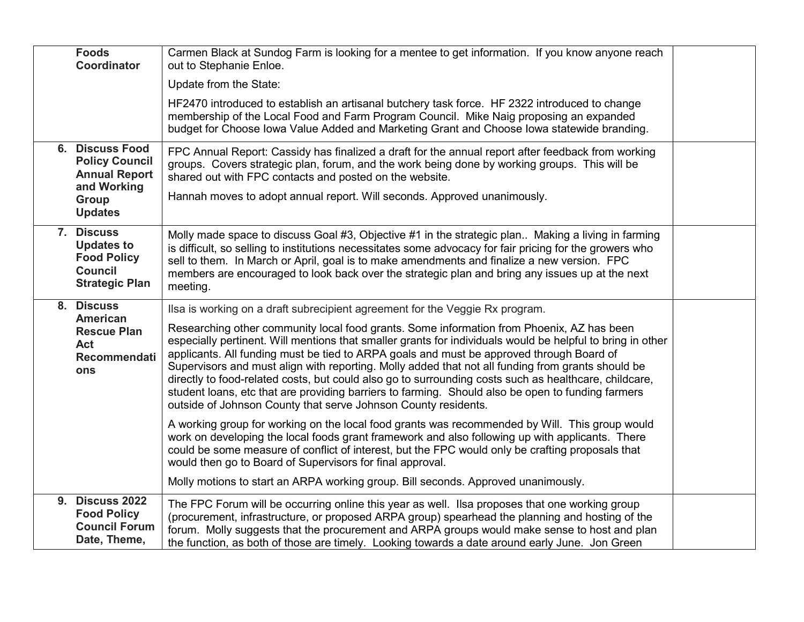| <b>Foods</b><br>Coordinator                                                                      | Carmen Black at Sundog Farm is looking for a mentee to get information. If you know anyone reach<br>out to Stephanie Enloe.                                                                                                                                                                                                                                                                                                                                                                                                                                                                                                                                                              |  |
|--------------------------------------------------------------------------------------------------|------------------------------------------------------------------------------------------------------------------------------------------------------------------------------------------------------------------------------------------------------------------------------------------------------------------------------------------------------------------------------------------------------------------------------------------------------------------------------------------------------------------------------------------------------------------------------------------------------------------------------------------------------------------------------------------|--|
|                                                                                                  | Update from the State:                                                                                                                                                                                                                                                                                                                                                                                                                                                                                                                                                                                                                                                                   |  |
|                                                                                                  | HF2470 introduced to establish an artisanal butchery task force. HF 2322 introduced to change<br>membership of the Local Food and Farm Program Council. Mike Naig proposing an expanded<br>budget for Choose Iowa Value Added and Marketing Grant and Choose Iowa statewide branding.                                                                                                                                                                                                                                                                                                                                                                                                    |  |
| <b>6. Discuss Food</b><br><b>Policy Council</b><br><b>Annual Report</b><br>and Working           | FPC Annual Report: Cassidy has finalized a draft for the annual report after feedback from working<br>groups. Covers strategic plan, forum, and the work being done by working groups. This will be<br>shared out with FPC contacts and posted on the website.                                                                                                                                                                                                                                                                                                                                                                                                                           |  |
| <b>Group</b><br><b>Updates</b>                                                                   | Hannah moves to adopt annual report. Will seconds. Approved unanimously.                                                                                                                                                                                                                                                                                                                                                                                                                                                                                                                                                                                                                 |  |
| 7. Discuss<br><b>Updates to</b><br><b>Food Policy</b><br><b>Council</b><br><b>Strategic Plan</b> | Molly made space to discuss Goal #3, Objective #1 in the strategic plan Making a living in farming<br>is difficult, so selling to institutions necessitates some advocacy for fair pricing for the growers who<br>sell to them. In March or April, goal is to make amendments and finalize a new version. FPC<br>members are encouraged to look back over the strategic plan and bring any issues up at the next<br>meeting.                                                                                                                                                                                                                                                             |  |
| 8. Discuss                                                                                       | Ilsa is working on a draft subrecipient agreement for the Veggie Rx program.                                                                                                                                                                                                                                                                                                                                                                                                                                                                                                                                                                                                             |  |
| American<br><b>Rescue Plan</b><br><b>Act</b><br>Recommendati<br>ons                              | Researching other community local food grants. Some information from Phoenix, AZ has been<br>especially pertinent. Will mentions that smaller grants for individuals would be helpful to bring in other<br>applicants. All funding must be tied to ARPA goals and must be approved through Board of<br>Supervisors and must align with reporting. Molly added that not all funding from grants should be<br>directly to food-related costs, but could also go to surrounding costs such as healthcare, childcare,<br>student loans, etc that are providing barriers to farming. Should also be open to funding farmers<br>outside of Johnson County that serve Johnson County residents. |  |
|                                                                                                  | A working group for working on the local food grants was recommended by Will. This group would<br>work on developing the local foods grant framework and also following up with applicants. There<br>could be some measure of conflict of interest, but the FPC would only be crafting proposals that<br>would then go to Board of Supervisors for final approval.<br>Molly motions to start an ARPA working group. Bill seconds. Approved unanimously.                                                                                                                                                                                                                                  |  |
| <b>9. Discuss 2022</b>                                                                           |                                                                                                                                                                                                                                                                                                                                                                                                                                                                                                                                                                                                                                                                                          |  |
| <b>Food Policy</b><br><b>Council Forum</b><br>Date, Theme,                                       | The FPC Forum will be occurring online this year as well. Ilsa proposes that one working group<br>(procurement, infrastructure, or proposed ARPA group) spearhead the planning and hosting of the<br>forum. Molly suggests that the procurement and ARPA groups would make sense to host and plan<br>the function, as both of those are timely. Looking towards a date around early June. Jon Green                                                                                                                                                                                                                                                                                      |  |